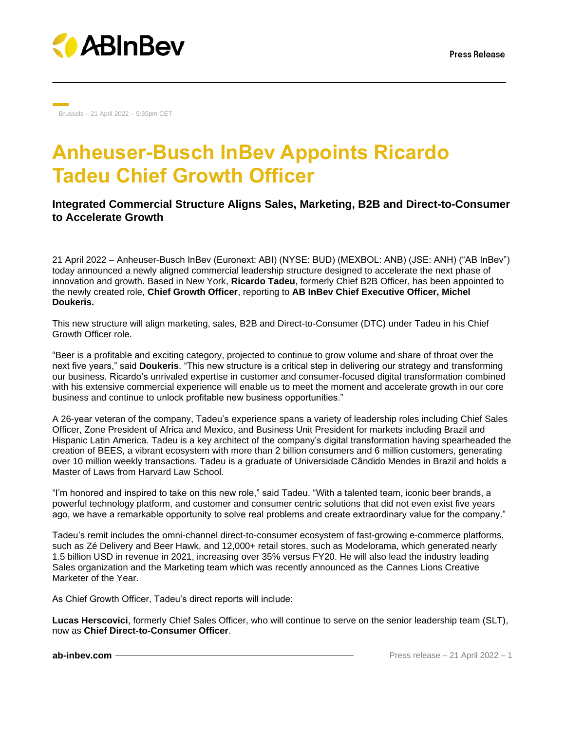

Brussels – 21 April 2022 – 5:35pm CET

# **Anheuser-Busch InBev Appoints Ricardo Tadeu Chief Growth Officer**

## **Integrated Commercial Structure Aligns Sales, Marketing, B2B and Direct-to-Consumer to Accelerate Growth**

21 April 2022 – Anheuser-Busch InBev (Euronext: ABI) (NYSE: BUD) (MEXBOL: ANB) (JSE: ANH) ("AB InBev") today announced a newly aligned commercial leadership structure designed to accelerate the next phase of innovation and growth. Based in New York, **Ricardo Tadeu**, formerly Chief B2B Officer, has been appointed to the newly created role, **Chief Growth Officer**, reporting to **AB InBev Chief Executive Officer, Michel Doukeris.**

This new structure will align marketing, sales, B2B and Direct-to-Consumer (DTC) under Tadeu in his Chief Growth Officer role.

"Beer is a profitable and exciting category, projected to continue to grow volume and share of throat over the next five years," said **Doukeris**. "This new structure is a critical step in delivering our strategy and transforming our business. Ricardo's unrivaled expertise in customer and consumer-focused digital transformation combined with his extensive commercial experience will enable us to meet the moment and accelerate growth in our core business and continue to unlock profitable new business opportunities."

A 26-year veteran of the company, Tadeu's experience spans a variety of leadership roles including Chief Sales Officer, Zone President of Africa and Mexico, and Business Unit President for markets including Brazil and Hispanic Latin America. Tadeu is a key architect of the company's digital transformation having spearheaded the creation of BEES, a vibrant ecosystem with more than 2 billion consumers and 6 million customers, generating over 10 million weekly transactions. Tadeu is a graduate of Universidade Cândido Mendes in Brazil and holds a Master of Laws from Harvard Law School.

"I'm honored and inspired to take on this new role," said Tadeu. "With a talented team, iconic beer brands, a powerful technology platform, and customer and consumer centric solutions that did not even exist five years ago, we have a remarkable opportunity to solve real problems and create extraordinary value for the company."

Tadeu's remit includes the omni-channel direct-to-consumer ecosystem of fast-growing e-commerce platforms, such as Zé Delivery and Beer Hawk, and 12,000+ retail stores, such as Modelorama, which generated nearly 1.5 billion USD in revenue in 2021, increasing over 35% versus FY20. He will also lead the industry leading Sales organization and the Marketing team which was recently announced as the Cannes Lions Creative Marketer of the Year.

As Chief Growth Officer, Tadeu's direct reports will include:

**Lucas Herscovici**, formerly Chief Sales Officer, who will continue to serve on the senior leadership team (SLT), now as **Chief Direct-to-Consumer Officer**.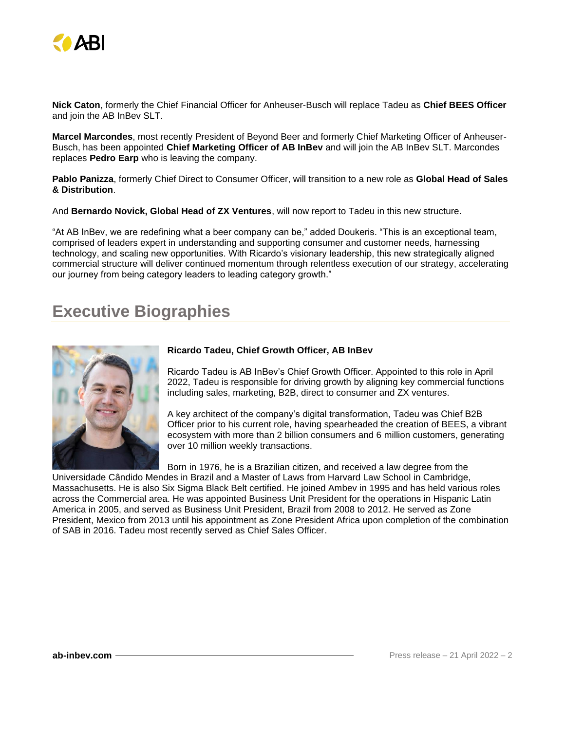

**Nick Caton**, formerly the Chief Financial Officer for Anheuser-Busch will replace Tadeu as **Chief BEES Officer**  and join the AB InBev SLT.

**Marcel Marcondes**, most recently President of Beyond Beer and formerly Chief Marketing Officer of Anheuser-Busch, has been appointed **Chief Marketing Officer of AB InBev** and will join the AB InBev SLT. Marcondes replaces **Pedro Earp** who is leaving the company.

**Pablo Panizza**, formerly Chief Direct to Consumer Officer, will transition to a new role as **Global Head of Sales & Distribution**.

And **Bernardo Novick, Global Head of ZX Ventures**, will now report to Tadeu in this new structure.

"At AB InBev, we are redefining what a beer company can be," added Doukeris. "This is an exceptional team, comprised of leaders expert in understanding and supporting consumer and customer needs, harnessing technology, and scaling new opportunities. With Ricardo's visionary leadership, this new strategically aligned commercial structure will deliver continued momentum through relentless execution of our strategy, accelerating our journey from being category leaders to leading category growth."

## **Executive Biographies**



## **Ricardo Tadeu, Chief Growth Officer, AB InBev**

Ricardo Tadeu is AB InBev's Chief Growth Officer. Appointed to this role in April 2022, Tadeu is responsible for driving growth by aligning key commercial functions including sales, marketing, B2B, direct to consumer and ZX ventures.

A key architect of the company's digital transformation, Tadeu was Chief B2B Officer prior to his current role, having spearheaded the creation of BEES, a vibrant ecosystem with more than 2 billion consumers and 6 million customers, generating over 10 million weekly transactions.

Born in 1976, he is a Brazilian citizen, and received a law degree from the

Universidade Cândido Mendes in Brazil and a Master of Laws from Harvard Law School in Cambridge, Massachusetts. He is also Six Sigma Black Belt certified. He joined Ambev in 1995 and has held various roles across the Commercial area. He was appointed Business Unit President for the operations in Hispanic Latin America in 2005, and served as Business Unit President, Brazil from 2008 to 2012. He served as Zone President, Mexico from 2013 until his appointment as Zone President Africa upon completion of the combination of SAB in 2016. Tadeu most recently served as Chief Sales Officer.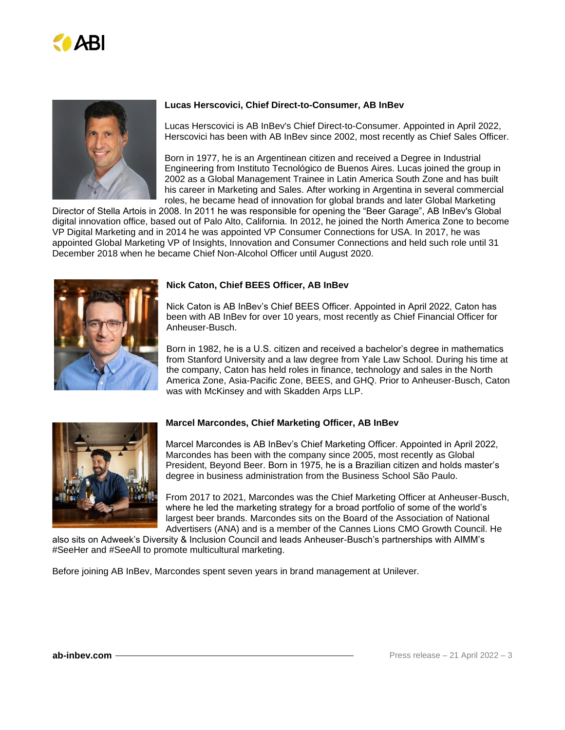



## **Lucas Herscovici, Chief Direct-to-Consumer, AB InBev**

Lucas Herscovici is AB InBev's Chief Direct-to-Consumer. Appointed in April 2022, Herscovici has been with AB InBev since 2002, most recently as Chief Sales Officer.

Born in 1977, he is an Argentinean citizen and received a Degree in Industrial Engineering from Instituto Tecnológico de Buenos Aires. Lucas joined the group in 2002 as a Global Management Trainee in Latin America South Zone and has built his career in Marketing and Sales. After working in Argentina in several commercial roles, he became head of innovation for global brands and later Global Marketing

Director of Stella Artois in 2008. In 2011 he was responsible for opening the "Beer Garage", AB InBev's Global digital innovation office, based out of Palo Alto, California. In 2012, he joined the North America Zone to become VP Digital Marketing and in 2014 he was appointed VP Consumer Connections for USA. In 2017, he was appointed Global Marketing VP of Insights, Innovation and Consumer Connections and held such role until 31 December 2018 when he became Chief Non-Alcohol Officer until August 2020.



## **Nick Caton, Chief BEES Officer, AB InBev**

Nick Caton is AB InBev's Chief BEES Officer. Appointed in April 2022, Caton has been with AB InBev for over 10 years, most recently as Chief Financial Officer for Anheuser-Busch.

Born in 1982, he is a U.S. citizen and received a bachelor's degree in mathematics from Stanford University and a law degree from Yale Law School. During his time at the company, Caton has held roles in finance, technology and sales in the North America Zone, Asia-Pacific Zone, BEES, and GHQ. Prior to Anheuser-Busch, Caton was with McKinsey and with Skadden Arps LLP.



## **Marcel Marcondes, Chief Marketing Officer, AB InBev**

Marcel Marcondes is AB InBev's Chief Marketing Officer. Appointed in April 2022, Marcondes has been with the company since 2005, most recently as Global President, Beyond Beer. Born in 1975, he is a Brazilian citizen and holds master's degree in business administration from the Business School São Paulo.

From 2017 to 2021, Marcondes was the Chief Marketing Officer at Anheuser-Busch, where he led the marketing strategy for a broad portfolio of some of the world's largest beer brands. Marcondes sits on the Board of the Association of National Advertisers (ANA) and is a member of the Cannes Lions CMO Growth Council. He

also sits on Adweek's Diversity & Inclusion Council and leads Anheuser-Busch's partnerships with AIMM's #SeeHer and #SeeAll to promote multicultural marketing.

Before joining AB InBev, Marcondes spent seven years in brand management at Unilever.